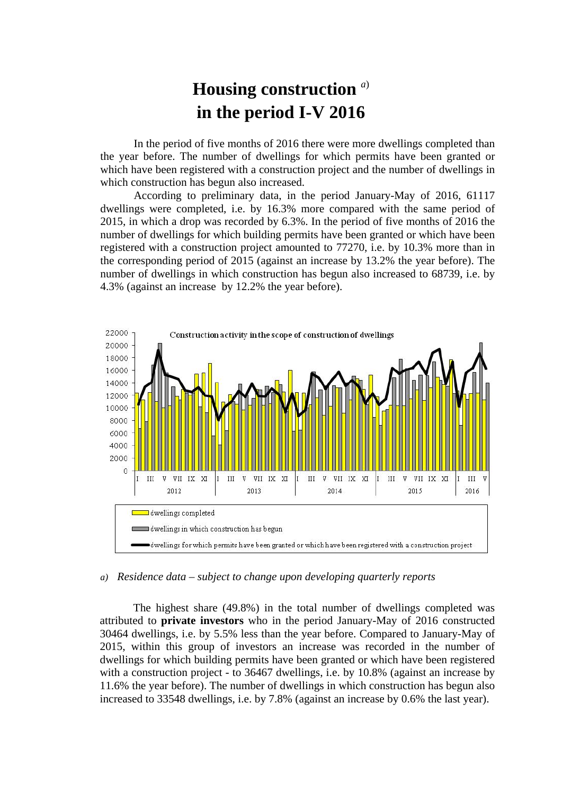## **Housing construction** *<sup>a</sup>*) **in the period I-V 2016**

In the period of five months of 2016 there were more dwellings completed than the year before. The number of dwellings for which permits have been granted or which have been registered with a construction project and the number of dwellings in which construction has begun also increased.

According to preliminary data, in the period January-May of 2016, 61117 dwellings were completed, i.e. by 16.3% more compared with the same period of 2015, in which a drop was recorded by 6.3%. In the period of five months of 2016 the number of dwellings for which building permits have been granted or which have been registered with a construction project amounted to 77270, i.e. by 10.3% more than in the corresponding period of 2015 (against an increase by 13.2% the year before). The number of dwellings in which construction has begun also increased to 68739, i.e. by 4.3% (against an increase by 12.2% the year before).



## *a) Residence data – subject to change upon developing quarterly reports*

The highest share (49.8%) in the total number of dwellings completed was attributed to **private investors** who in the period January-May of 2016 constructed 30464 dwellings, i.e. by 5.5% less than the year before. Compared to January-May of 2015, within this group of investors an increase was recorded in the number of dwellings for which building permits have been granted or which have been registered with a construction project - to 36467 dwellings, i.e. by 10.8% (against an increase by 11.6% the year before). The number of dwellings in which construction has begun also increased to 33548 dwellings, i.e. by 7.8% (against an increase by 0.6% the last year).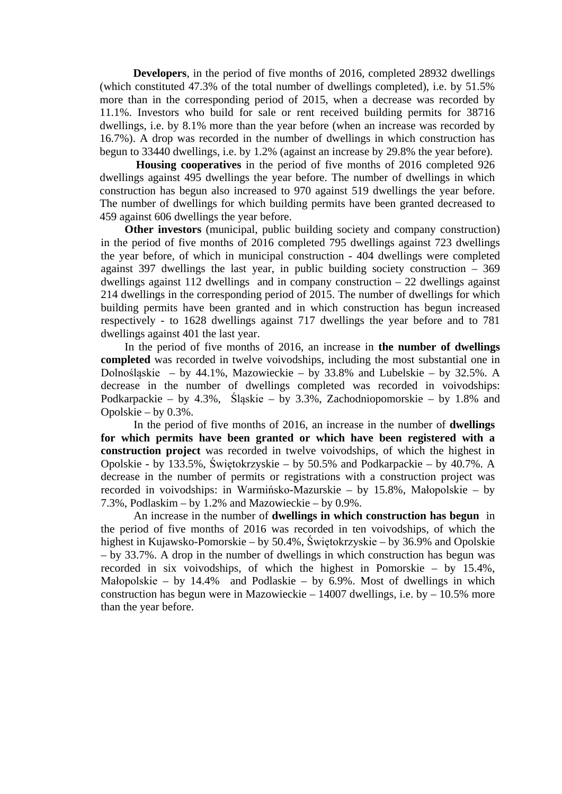**Developers**, in the period of five months of 2016, completed 28932 dwellings (which constituted 47.3% of the total number of dwellings completed), i.e. by 51.5% more than in the corresponding period of 2015, when a decrease was recorded by 11.1%. Investors who build for sale or rent received building permits for 38716 dwellings, i.e. by 8.1% more than the year before (when an increase was recorded by 16.7%). A drop was recorded in the number of dwellings in which construction has begun to 33440 dwellings, i.e. by 1.2% (against an increase by 29.8% the year before).

**Housing cooperatives** in the period of five months of 2016 completed 926 dwellings against 495 dwellings the year before. The number of dwellings in which construction has begun also increased to 970 against 519 dwellings the year before. The number of dwellings for which building permits have been granted decreased to 459 against 606 dwellings the year before.

**Other investors** (municipal, public building society and company construction) in the period of five months of 2016 completed 795 dwellings against 723 dwellings the year before, of which in municipal construction - 404 dwellings were completed against 397 dwellings the last year, in public building society construction – 369 dwellings against 112 dwellings and in company construction  $-22$  dwellings against 214 dwellings in the corresponding period of 2015. The number of dwellings for which building permits have been granted and in which construction has begun increased respectively - to 1628 dwellings against 717 dwellings the year before and to 781 dwellings against 401 the last year.

In the period of five months of 2016, an increase in **the number of dwellings completed** was recorded in twelve voivodships, including the most substantial one in Dolnośląskie – by 44.1%, Mazowieckie – by 33.8% and Lubelskie – by 32.5%. A decrease in the number of dwellings completed was recorded in voivodships: Podkarpackie – by 4.3%, Śląskie – by 3.3%, Zachodniopomorskie – by 1.8% and Opolskie – by 0.3%.

In the period of five months of 2016, an increase in the number of **dwellings for which permits have been granted or which have been registered with a construction project** was recorded in twelve voivodships, of which the highest in Opolskie - by 133.5%, Świętokrzyskie – by 50.5% and Podkarpackie – by 40.7%. A decrease in the number of permits or registrations with a construction project was recorded in voivodships: in Warmińsko-Mazurskie – by 15.8%, Małopolskie – by 7.3%, Podlaskim – by 1.2% and Mazowieckie – by 0.9%.

An increase in the number of **dwellings in which construction has begun** in the period of five months of 2016 was recorded in ten voivodships, of which the highest in Kujawsko-Pomorskie – by 50.4%, Świętokrzyskie – by 36.9% and Opolskie – by 33.7%. A drop in the number of dwellings in which construction has begun was recorded in six voivodships, of which the highest in Pomorskie – by 15.4%, Małopolskie – by 14.4% and Podlaskie – by 6.9%. Most of dwellings in which construction has begun were in Mazowieckie – 14007 dwellings, i.e. by – 10.5% more than the year before.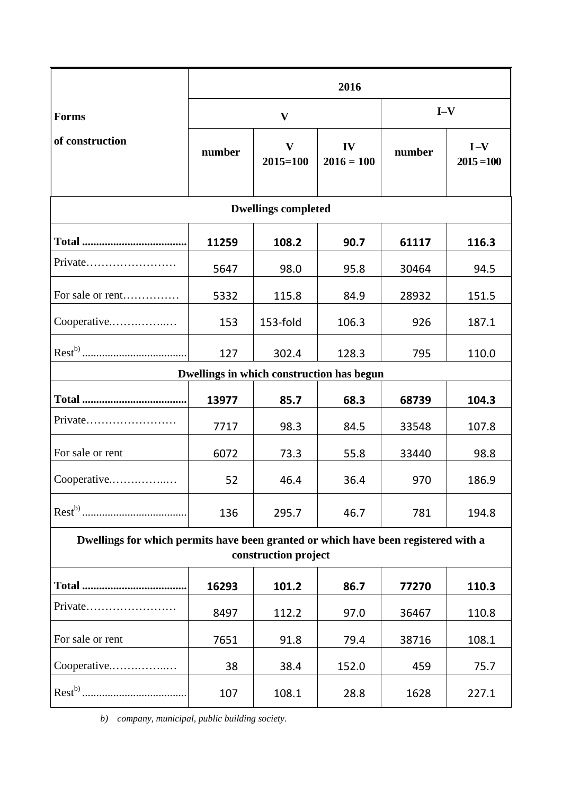|                                                                                                            | 2016         |                              |                    |        |                       |
|------------------------------------------------------------------------------------------------------------|--------------|------------------------------|--------------------|--------|-----------------------|
| <b>Forms</b>                                                                                               | $\mathbf{V}$ |                              |                    | $I-V$  |                       |
| of construction                                                                                            | number       | $\mathbf{V}$<br>$2015 = 100$ | IV<br>$2016 = 100$ | number | $I-V$<br>$2015 = 100$ |
| <b>Dwellings completed</b>                                                                                 |              |                              |                    |        |                       |
|                                                                                                            | 11259        | 108.2                        | 90.7               | 61117  | 116.3                 |
| Private                                                                                                    | 5647         | 98.0                         | 95.8               | 30464  | 94.5                  |
| For sale or rent                                                                                           | 5332         | 115.8                        | 84.9               | 28932  | 151.5                 |
| Cooperative                                                                                                | 153          | 153-fold                     | 106.3              | 926    | 187.1                 |
|                                                                                                            | 127          | 302.4                        | 128.3              | 795    | 110.0                 |
| Dwellings in which construction has begun                                                                  |              |                              |                    |        |                       |
|                                                                                                            | 13977        | 85.7                         | 68.3               | 68739  | 104.3                 |
| Private                                                                                                    | 7717         | 98.3                         | 84.5               | 33548  | 107.8                 |
| For sale or rent                                                                                           | 6072         | 73.3                         | 55.8               | 33440  | 98.8                  |
| Cooperative                                                                                                | 52           | 46.4                         | 36.4               | 970    | 186.9                 |
|                                                                                                            | 136          | 295.7                        | 46.7               | 781    | 194.8                 |
| Dwellings for which permits have been granted or which have been registered with a<br>construction project |              |                              |                    |        |                       |
|                                                                                                            | 16293        | 101.2                        | 86.7               | 77270  | 110.3                 |
| $Private$                                                                                                  | 8497         | 112.2                        | 97.0               | 36467  | 110.8                 |
| For sale or rent                                                                                           | 7651         | 91.8                         | 79.4               | 38716  | 108.1                 |
| Cooperative                                                                                                | 38           | 38.4                         | 152.0              | 459    | 75.7                  |
|                                                                                                            | 107          | 108.1                        | 28.8               | 1628   | 227.1                 |

*b) company, municipal, public building society.*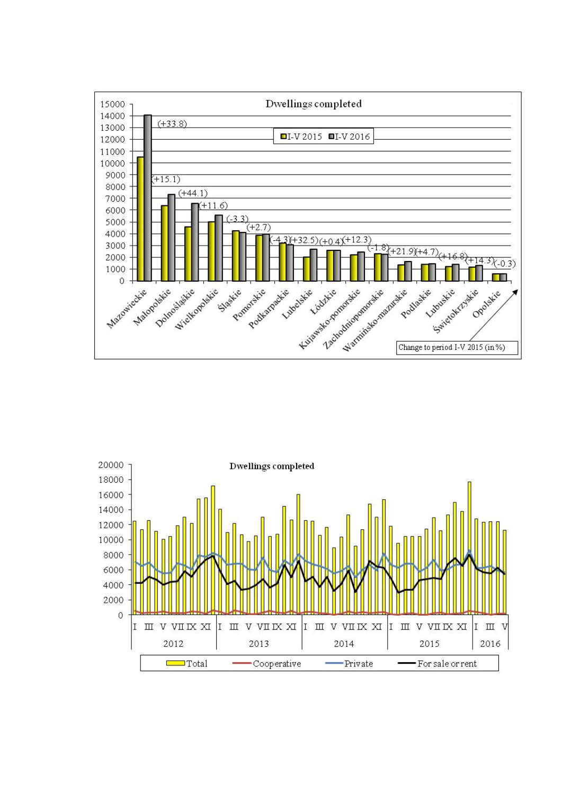